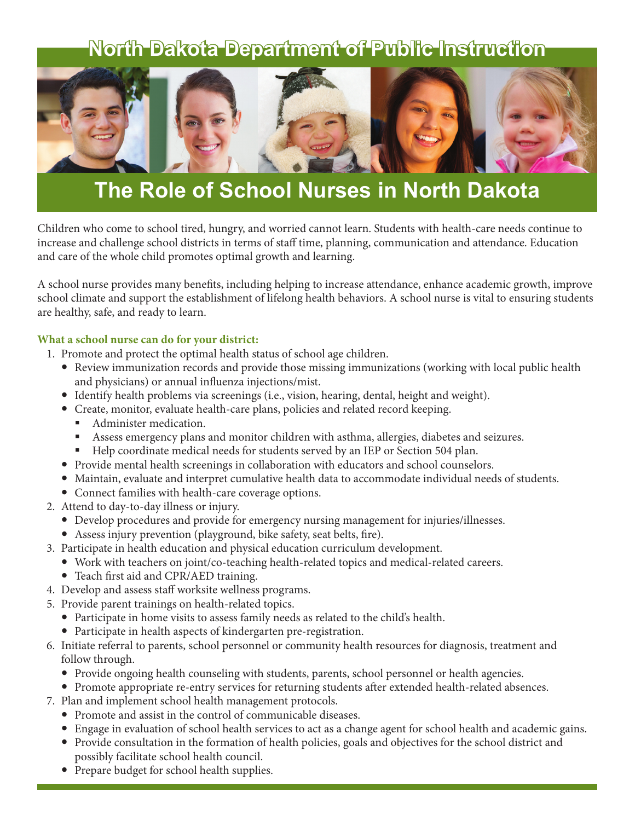## **North Dakota Department of Public Instruction**



## **The Role of School Nurses in North Dakota**

Children who come to school tired, hungry, and worried cannot learn. Students with health-care needs continue to increase and challenge school districts in terms of staff time, planning, communication and attendance. Education and care of the whole child promotes optimal growth and learning.

A school nurse provides many benefits, including helping to increase attendance, enhance academic growth, improve school climate and support the establishment of lifelong health behaviors. A school nurse is vital to ensuring students are healthy, safe, and ready to learn.

## **What a school nurse can do for your district:**

- 1. Promote and protect the optimal health status of school age children.
	- Review immunization records and provide those missing immunizations (working with local public health and physicians) or annual influenza injections/mist.
	- Identify health problems via screenings (i.e., vision, hearing, dental, height and weight).
	- Create, monitor, evaluate health-care plans, policies and related record keeping.
		- Administer medication.
		- Assess emergency plans and monitor children with asthma, allergies, diabetes and seizures.
		- Help coordinate medical needs for students served by an IEP or Section 504 plan.
	- Provide mental health screenings in collaboration with educators and school counselors.
	- Maintain, evaluate and interpret cumulative health data to accommodate individual needs of students.
	- Connect families with health-care coverage options.
- 2. Attend to day-to-day illness or injury.
	- Develop procedures and provide for emergency nursing management for injuries/illnesses.
	- Assess injury prevention (playground, bike safety, seat belts, fire).
- 3. Participate in health education and physical education curriculum development.
	- Work with teachers on joint/co-teaching health-related topics and medical-related careers.
	- Teach first aid and CPR/AED training.
- 4. Develop and assess staff worksite wellness programs.
- 5. Provide parent trainings on health-related topics.
	- Participate in home visits to assess family needs as related to the child's health.
	- Participate in health aspects of kindergarten pre-registration.
- 6. Initiate referral to parents, school personnel or community health resources for diagnosis, treatment and follow through.
	- Provide ongoing health counseling with students, parents, school personnel or health agencies.
	- Promote appropriate re-entry services for returning students after extended health-related absences.
- 7. Plan and implement school health management protocols.
	- Promote and assist in the control of communicable diseases.
	- Engage in evaluation of school health services to act as a change agent for school health and academic gains.
	- Provide consultation in the formation of health policies, goals and objectives for the school district and possibly facilitate school health council.
	- Prepare budget for school health supplies.